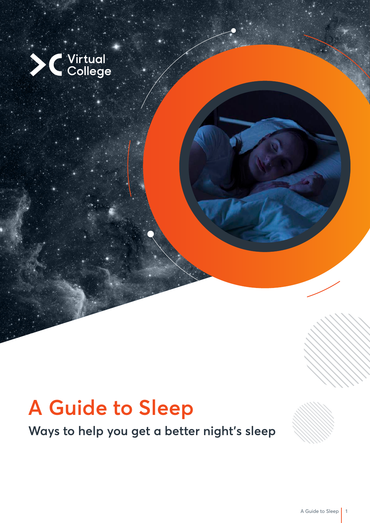

# **A Guide to Sleep**

**Ways to help you get a better night's sleep**

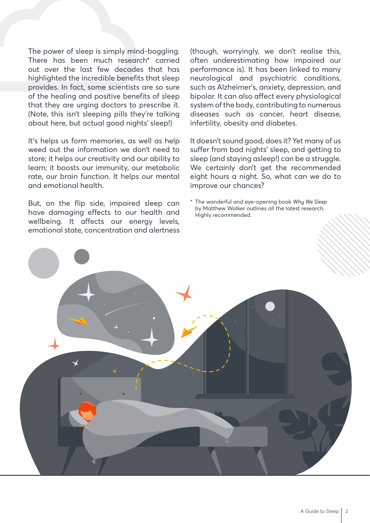The power of sleep is simply mind-boggling. There has been much research\* carried out over the last few decades that has highlighted the incredible benefits that sleep provides. In fact, some scientists are so sure of the healing and positive benefits of sleep that they are urging doctors to prescribe it. (Note, this isn't sleeping pills they're talking about here, but actual good nights' sleep!)

It's helps us form memories, as well as help weed out the information we don't need to store; it helps our creativity and our ability to learn; it boosts our immunity, our metabolic rate, our brain function. It helps our mental and emotional health.

But, on the flip side, impaired sleep can have damaging effects to our health and wellbeing. It affects our energy levels, emotional state, concentration and alertness

(though, worryingly, we don't realise this, often underestimating how impaired our performance is). It has been linked to many neurological and psychiatric conditions, such as Alzheimer's, anxiety, depression, and bipolar. It can also affect every physiological system of the body, contributing to numerous diseases such as cancer, heart disease, infertility, obesity and diabetes.

It doesn't sound good, does it? Yet many of us suffer from bad nights' sleep, and getting to sleep (and staying asleep!) can be a struggle. We certainly don't get the recommended eight hours a night. So, what can we do to improve our chances?

\* The wonderful and eye-opening book *Why We Sleep* by Matthew Walker outlines all the latest research. Highly recommended.

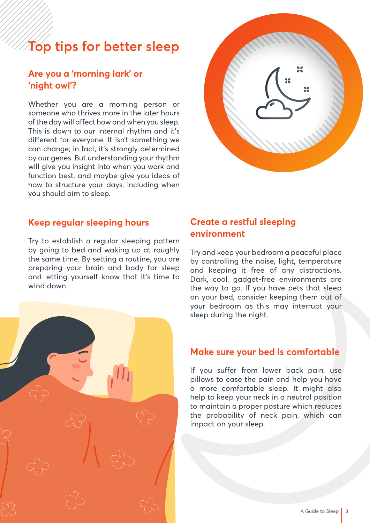# **Top tips for better sleep**

## **Are you a 'morning lark' or 'night owl'?**

Whether you are a morning person or someone who thrives more in the later hours of the day will affect how and when you sleep. This is down to our internal rhythm and it's different for everyone. It isn't something we can change; in fact, it's strongly determined by our genes. But understanding your rhythm will give you insight into when you work and function best, and maybe give you ideas of how to structure your days, including when you should aim to sleep.



#### **Keep regular sleeping hours**

Try to establish a regular sleeping pattern by going to bed and waking up at roughly the same time. By setting a routine, you are preparing your brain and body for sleep and letting yourself know that it's time to wind down.

## **Create a restful sleeping environment**

Try and keep your bedroom a peaceful place by controlling the noise, light, temperature and keeping it free of any distractions. Dark, cool, gadget-free environments are the way to go. If you have pets that sleep on your bed, consider keeping them out of your bedroom as this may interrupt your sleep during the night.

#### **Make sure your bed is comfortable**

If you suffer from lower back pain, use pillows to ease the pain and help you have a more comfortable sleep. It might also help to keep your neck in a neutral position to maintain a proper posture which reduces the probability of neck pain, which can impact on your sleep.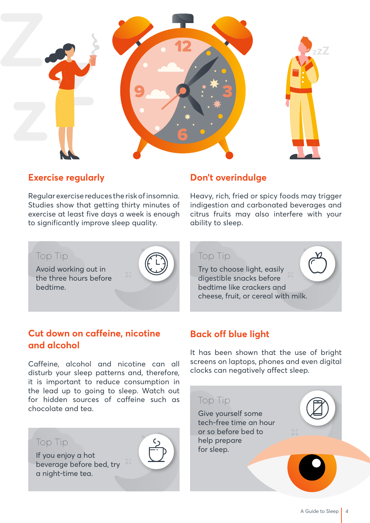

#### **Exercise regularly**

Regular exercise reduces the risk of insomnia. Studies show that getting thirty minutes of exercise at least five days a week is enough to significantly improve sleep quality.

## **Don't overindulge**

Top Tip

Heavy, rich, fried or spicy foods may trigger indigestion and carbonated beverages and citrus fruits may also interfere with your ability to sleep.

#### Top Tip

Avoid working out in the three hours before bedtime.



# **Cut down on caffeine, nicotine and alcohol**

Caffeine, alcohol and nicotine can all disturb your sleep patterns and, therefore, it is important to reduce consumption in the lead up to going to sleep. Watch out for hidden sources of caffeine such as chocolate and tea.



# **Back off blue light**

Try to choose light, easily digestible snacks before bedtime like crackers and

cheese, fruit, or cereal with milk.

It has been shown that the use of bright screens on laptops, phones and even digital clocks can negatively affect sleep.